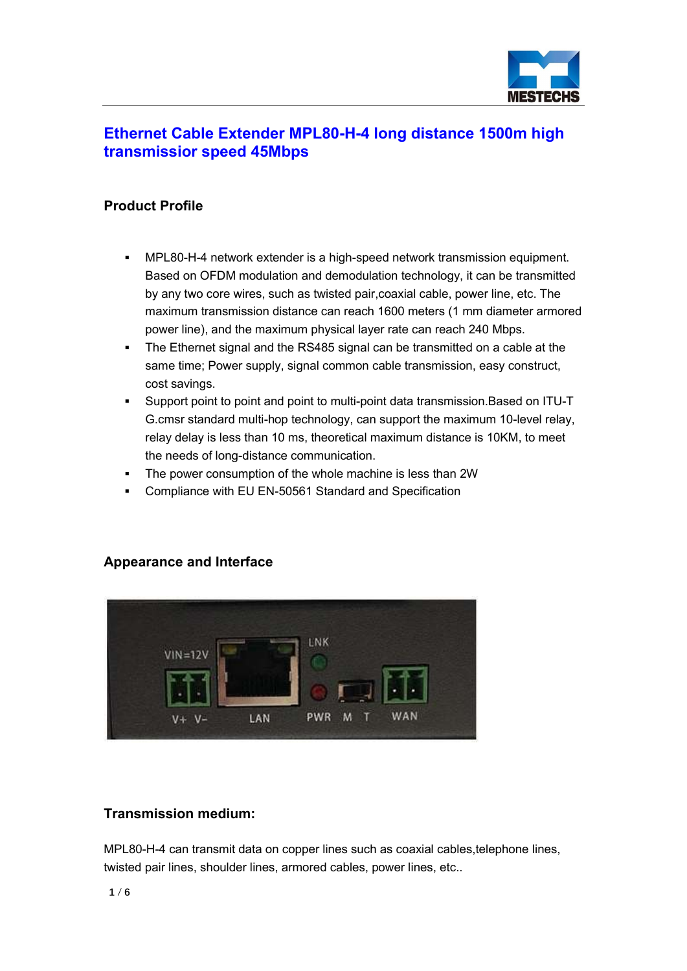

## Ethernet Cable Extender MPL80-H-4 long distance 1500m high transmissior speed 45Mbps

### Product Profile

- MPL80-H-4 network extender is a high-speed network transmission equipment. Based on OFDM modulation and demodulation technology, it can be transmitted by any two core wires, such as twisted pair,coaxial cable, power line, etc. The maximum transmission distance can reach 1600 meters (1 mm diameter armored power line), and the maximum physical layer rate can reach 240 Mbps.
- The Ethernet signal and the RS485 signal can be transmitted on a cable at the same time; Power supply, signal common cable transmission, easy construct, cost savings.
- Support point to point and point to multi-point data transmission.Based on ITU-T G.cmsr standard multi-hop technology, can support the maximum 10-level relay, relay delay is less than 10 ms, theoretical maximum distance is 10KM, to meet the needs of long-distance communication.
- The power consumption of the whole machine is less than 2W
- Compliance with EU EN-50561 Standard and Specification

### Appearance and Interface



### Transmission medium:

MPL80-H-4 can transmit data on copper lines such as coaxial cables,telephone lines, twisted pair lines, shoulder lines, armored cables, power lines, etc..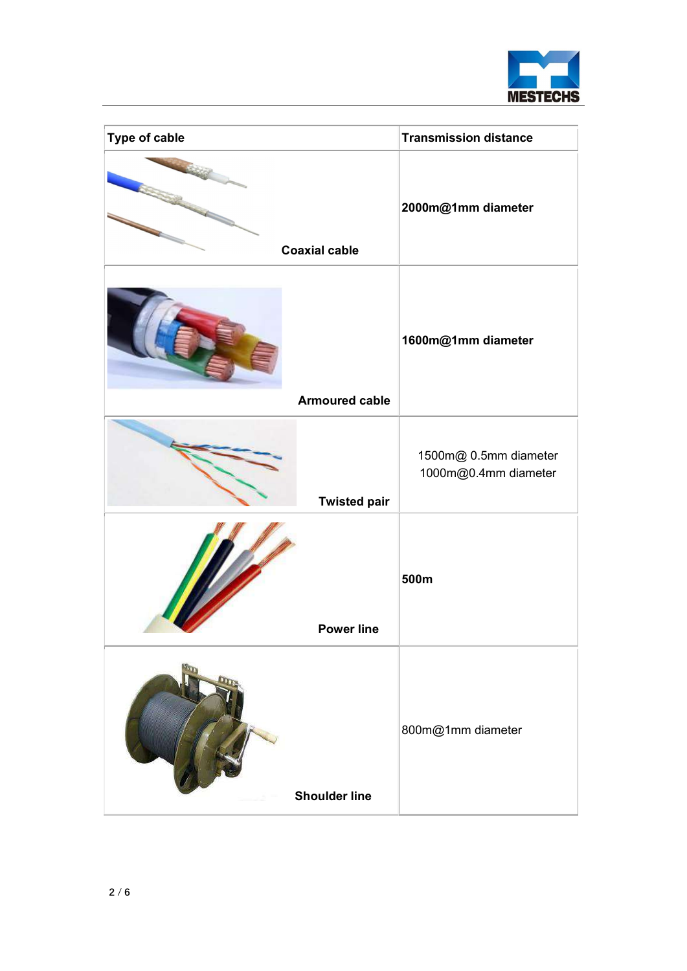

| Type of cable         | <b>Transmission distance</b>                  |
|-----------------------|-----------------------------------------------|
| <b>Coaxial cable</b>  | 2000m@1mm diameter                            |
| <b>Armoured cable</b> | 1600m@1mm diameter                            |
|                       |                                               |
| <b>Twisted pair</b>   | 1500m@ 0.5mm diameter<br>1000m@0.4mm diameter |
| <b>Power line</b>     | 500m                                          |
| <b>Shoulder line</b>  | 800m@1mm diameter                             |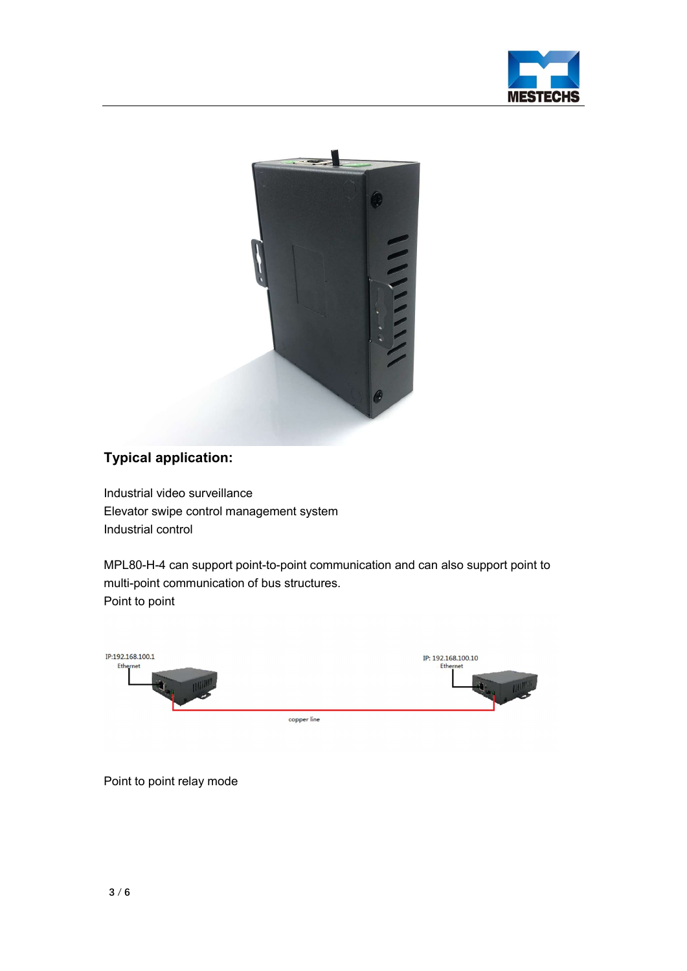



# Typical application:

Industrial video surveillance Elevator swipe control management system Industrial control

MPL80-H-4 can support point-to-point communication and can also support point to multi-point communication of bus structures. Point to point



Point to point relay mode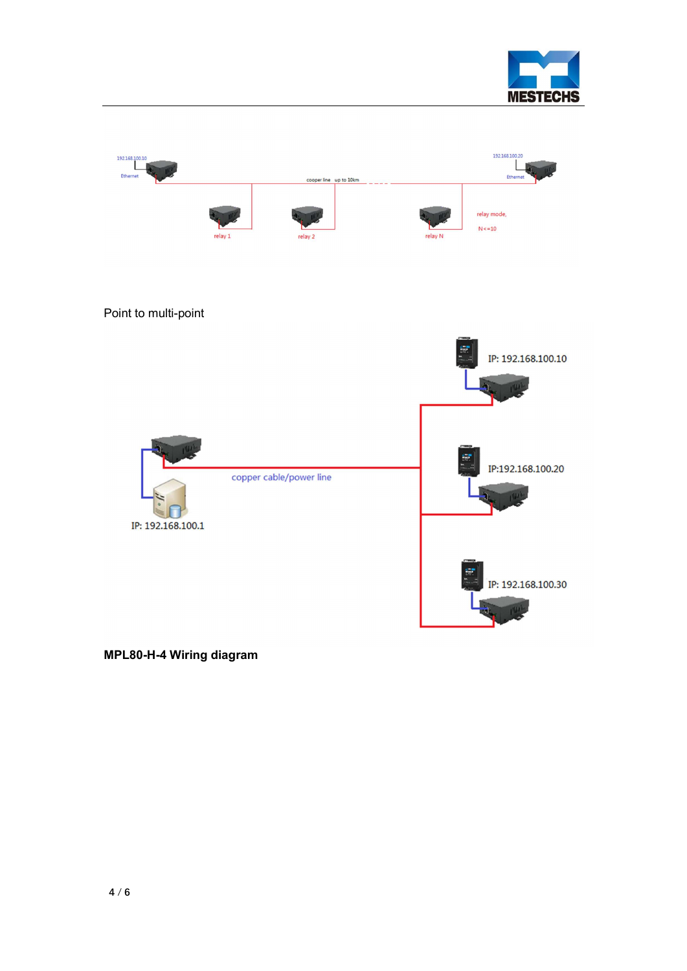



MPL80-H-4 Wiring diagram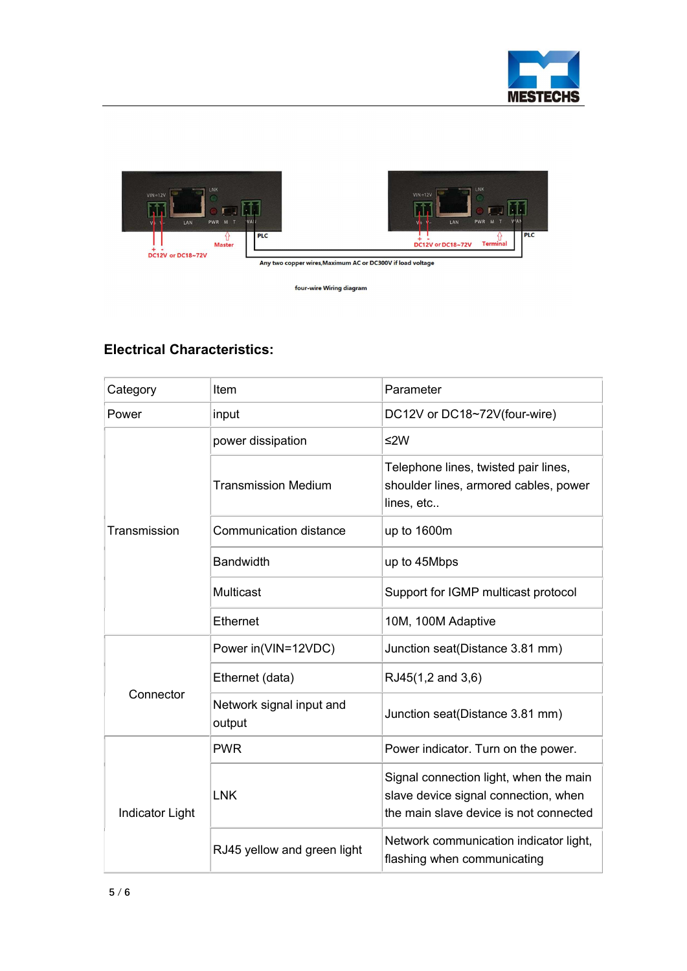





Any two copper wires, Maximum AC or DC300V if load voltage

four-wire Wiring diagram

# Electrical Characteristics:

| Category               | Item                               | Parameter                                                                                                                |
|------------------------|------------------------------------|--------------------------------------------------------------------------------------------------------------------------|
| Power                  | input                              | DC12V or DC18~72V(four-wire)                                                                                             |
| Transmission           | power dissipation                  | $≤2W$                                                                                                                    |
|                        | <b>Transmission Medium</b>         | Telephone lines, twisted pair lines,<br>shoulder lines, armored cables, power<br>lines, etc                              |
|                        | <b>Communication distance</b>      | up to 1600m                                                                                                              |
|                        | <b>Bandwidth</b>                   | up to 45Mbps                                                                                                             |
|                        | Multicast                          | Support for IGMP multicast protocol                                                                                      |
|                        | Ethernet                           | 10M, 100M Adaptive                                                                                                       |
| Connector              | Power in(VIN=12VDC)                | Junction seat(Distance 3.81 mm)                                                                                          |
|                        | Ethernet (data)                    | RJ45(1,2 and 3,6)                                                                                                        |
|                        | Network signal input and<br>output | Junction seat(Distance 3.81 mm)                                                                                          |
| <b>Indicator Light</b> | <b>PWR</b>                         | Power indicator. Turn on the power.                                                                                      |
|                        | <b>LNK</b>                         | Signal connection light, when the main<br>slave device signal connection, when<br>the main slave device is not connected |
|                        | RJ45 yellow and green light        | Network communication indicator light,<br>flashing when communicating                                                    |